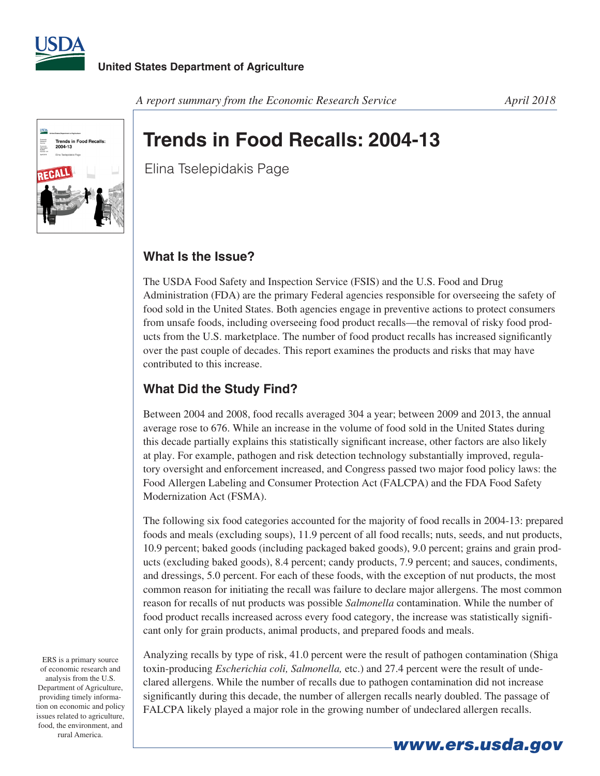



#### A report summary from the Economic Research Service **April 2018**

# **Trends in Food Recalls: 2004-13**

Elina Tselepidakis Page

### **What Is the Issue?**

The USDA Food Safety and Inspection Service (FSIS) and the U.S. Food and Drug Administration (FDA) are the primary Federal agencies responsible for overseeing the safety of food sold in the United States. Both agencies engage in preventive actions to protect consumers from unsafe foods, including overseeing food product recalls—the removal of risky food products from the U.S. marketplace. The number of food product recalls has increased significantly over the past couple of decades. This report examines the products and risks that may have contributed to this increase.

# **What Did the Study Find?**

Between 2004 and 2008, food recalls averaged 304 a year; between 2009 and 2013, the annual average rose to 676. While an increase in the volume of food sold in the United States during this decade partially explains this statistically significant increase, other factors are also likely at play. For example, pathogen and risk detection technology substantially improved, regulatory oversight and enforcement increased, and Congress passed two major food policy laws: the Food Allergen Labeling and Consumer Protection Act (FALCPA) and the FDA Food Safety Modernization Act (FSMA).

The following six food categories accounted for the majority of food recalls in 2004-13: prepared foods and meals (excluding soups), 11.9 percent of all food recalls; nuts, seeds, and nut products, 10.9 percent; baked goods (including packaged baked goods), 9.0 percent; grains and grain products (excluding baked goods), 8.4 percent; candy products, 7.9 percent; and sauces, condiments, and dressings, 5.0 percent. For each of these foods, with the exception of nut products, the most common reason for initiating the recall was failure to declare major allergens. The most common reason for recalls of nut products was possible *Salmonella* contamination. While the number of food product recalls increased across every food category, the increase was statistically significant only for grain products, animal products, and prepared foods and meals.

Analyzing recalls by type of risk, 41.0 percent were the result of pathogen contamination (Shiga toxin-producing *Escherichia coli, Salmonella,* etc.) and 27.4 percent were the result of undeclared allergens. While the number of recalls due to pathogen contamination did not increase significantly during this decade, the number of allergen recalls nearly doubled. The passage of FALCPA likely played a major role in the growing number of undeclared allergen recalls.

ERS is a primary source of economic research and analysis from the U.S. Department of Agriculture, providing timely information on economic and policy issues related to agriculture, food, the environment, and rural America.